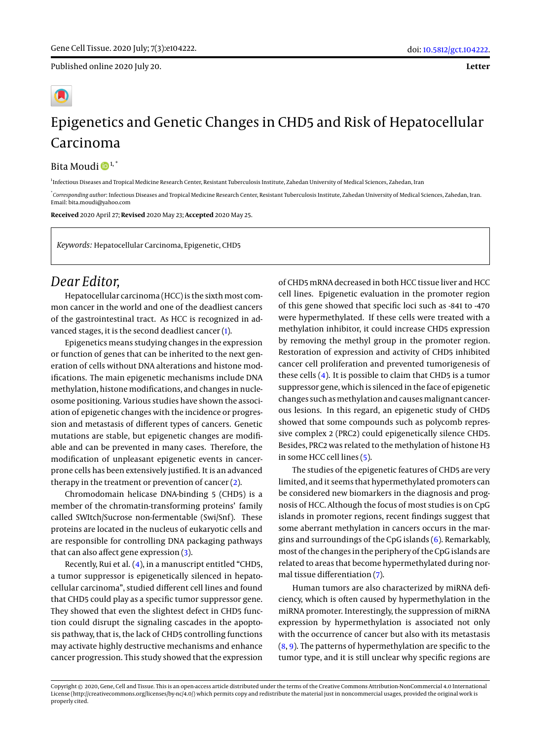Published online 2020 July 20.

**Letter**

## Epigenetics and Genetic Changes in CHD5 and Risk of Hepatocellular Carcinoma

Bita Moudi<sup>D<sup>1,\*</sup></sup>

1 Infectious Diseases and Tropical Medicine Research Center, Resistant Tuberculosis Institute, Zahedan University of Medical Sciences, Zahedan, Iran

\* *Corresponding author*: Infectious Diseases and Tropical Medicine Research Center, Resistant Tuberculosis Institute, Zahedan University of Medical Sciences, Zahedan, Iran. Email: bita.moudi@yahoo.com

**Received** 2020 April 27; **Revised** 2020 May 23; **Accepted** 2020 May 25.

*Keywords:* Hepatocellular Carcinoma, Epigenetic, CHD5

## *Dear Editor,*

Hepatocellular carcinoma (HCC) is the sixth most common cancer in the world and one of the deadliest cancers of the gastrointestinal tract. As HCC is recognized in advanced stages, it is the second deadliest cancer [\(1\)](#page-1-0).

Epigenetics means studying changes in the expression or function of genes that can be inherited to the next generation of cells without DNA alterations and histone modifications. The main epigenetic mechanisms include DNA methylation, histone modifications, and changes in nucleosome positioning. Various studies have shown the association of epigenetic changes with the incidence or progression and metastasis of different types of cancers. Genetic mutations are stable, but epigenetic changes are modifiable and can be prevented in many cases. Therefore, the modification of unpleasant epigenetic events in cancerprone cells has been extensively justified. It is an advanced therapy in the treatment or prevention of cancer [\(2\)](#page-1-1).

Chromodomain helicase DNA-binding 5 (CHD5) is a member of the chromatin-transforming proteins' family called SWItch/Sucrose non-fermentable (Swi/Snf). These proteins are located in the nucleus of eukaryotic cells and are responsible for controlling DNA packaging pathways that can also affect gene expression [\(3\)](#page-1-2).

Recently, Rui et al. [\(4\)](#page-1-3), in a manuscript entitled "CHD5, a tumor suppressor is epigenetically silenced in hepatocellular carcinoma", studied different cell lines and found that CHD5 could play as a specific tumor suppressor gene. They showed that even the slightest defect in CHD5 function could disrupt the signaling cascades in the apoptosis pathway, that is, the lack of CHD5 controlling functions may activate highly destructive mechanisms and enhance cancer progression. This study showed that the expression

of CHD5 mRNA decreased in both HCC tissue liver and HCC cell lines. Epigenetic evaluation in the promoter region of this gene showed that specific loci such as -841 to -470 were hypermethylated. If these cells were treated with a methylation inhibitor, it could increase CHD5 expression by removing the methyl group in the promoter region. Restoration of expression and activity of CHD5 inhibited cancer cell proliferation and prevented tumorigenesis of these cells  $(4)$ . It is possible to claim that CHD5 is a tumor suppressor gene, which is silenced in the face of epigenetic changes such as methylation and causes malignant cancerous lesions. In this regard, an epigenetic study of CHD5 showed that some compounds such as polycomb repressive complex 2 (PRC2) could epigenetically silence CHD5. Besides, PRC2 was related to the methylation of histone H3 in some HCC cell lines [\(5\)](#page-1-4).

The studies of the epigenetic features of CHD5 are very limited, and it seems that hypermethylated promoters can be considered new biomarkers in the diagnosis and prognosis of HCC. Although the focus of most studies is on CpG islands in promoter regions, recent findings suggest that some aberrant methylation in cancers occurs in the margins and surroundings of the CpG islands [\(6\)](#page-1-5). Remarkably, most of the changes in the periphery of the CpG islands are related to areas that become hypermethylated during normal tissue differentiation [\(7\)](#page-1-6).

Human tumors are also characterized by miRNA deficiency, which is often caused by hypermethylation in the miRNA promoter. Interestingly, the suppression of miRNA expression by hypermethylation is associated not only with the occurrence of cancer but also with its metastasis  $(8, 9)$  $(8, 9)$  $(8, 9)$ . The patterns of hypermethylation are specific to the tumor type, and it is still unclear why specific regions are

Copyright © 2020, Gene, Cell and Tissue. This is an open-access article distributed under the terms of the Creative Commons Attribution-NonCommercial 4.0 International License (http://creativecommons.org/licenses/by-nc/4.0/) which permits copy and redistribute the material just in noncommercial usages, provided the original work is properly cited.